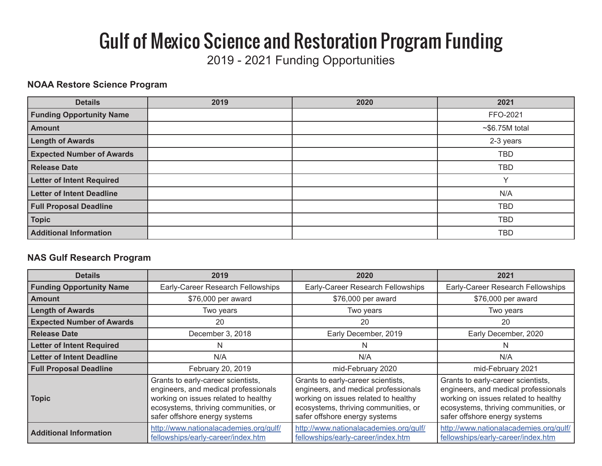# Gulf of Mexico Science and Restoration Program Funding

2019 - 2021 Funding Opportunities

#### **NOAA Restore Science Program**

| <b>Details</b>                   | 2019 | 2020 | 2021            |
|----------------------------------|------|------|-----------------|
| <b>Funding Opportunity Name</b>  |      |      | FFO-2021        |
| <b>Amount</b>                    |      |      | $~56.75M$ total |
| <b>Length of Awards</b>          |      |      | 2-3 years       |
| <b>Expected Number of Awards</b> |      |      | <b>TBD</b>      |
| <b>Release Date</b>              |      |      | <b>TBD</b>      |
| <b>Letter of Intent Required</b> |      |      | $\checkmark$    |
| <b>Letter of Intent Deadline</b> |      |      | N/A             |
| <b>Full Proposal Deadline</b>    |      |      | <b>TBD</b>      |
| <b>Topic</b>                     |      |      | <b>TBD</b>      |
| <b>Additional Information</b>    |      |      | <b>TBD</b>      |

#### **NAS Gulf Research Program**

| <b>Details</b>                   | 2019                                                                                                                                                                                        | 2020                                                                                                                                                                                        | 2021                                                                                                                                                                                        |
|----------------------------------|---------------------------------------------------------------------------------------------------------------------------------------------------------------------------------------------|---------------------------------------------------------------------------------------------------------------------------------------------------------------------------------------------|---------------------------------------------------------------------------------------------------------------------------------------------------------------------------------------------|
| <b>Funding Opportunity Name</b>  | Early-Career Research Fellowships                                                                                                                                                           | Early-Career Research Fellowships                                                                                                                                                           | Early-Career Research Fellowships                                                                                                                                                           |
| <b>Amount</b>                    | \$76,000 per award                                                                                                                                                                          | \$76,000 per award                                                                                                                                                                          | \$76,000 per award                                                                                                                                                                          |
| <b>Length of Awards</b>          | Two years                                                                                                                                                                                   | Two years                                                                                                                                                                                   | Two years                                                                                                                                                                                   |
| <b>Expected Number of Awards</b> | 20                                                                                                                                                                                          | 20                                                                                                                                                                                          | 20                                                                                                                                                                                          |
| l Release Date                   | December 3, 2018                                                                                                                                                                            | Early December, 2019                                                                                                                                                                        | Early December, 2020                                                                                                                                                                        |
| <b>Letter of Intent Required</b> | N                                                                                                                                                                                           |                                                                                                                                                                                             | N                                                                                                                                                                                           |
| <b>Letter of Intent Deadline</b> | N/A                                                                                                                                                                                         | N/A                                                                                                                                                                                         | N/A                                                                                                                                                                                         |
| <b>Full Proposal Deadline</b>    | February 20, 2019                                                                                                                                                                           | mid-February 2020                                                                                                                                                                           | mid-February 2021                                                                                                                                                                           |
| <b>Topic</b>                     | Grants to early-career scientists,<br>engineers, and medical professionals<br>working on issues related to healthy<br>ecosystems, thriving communities, or<br>safer offshore energy systems | Grants to early-career scientists,<br>engineers, and medical professionals<br>working on issues related to healthy<br>ecosystems, thriving communities, or<br>safer offshore energy systems | Grants to early-career scientists,<br>engineers, and medical professionals<br>working on issues related to healthy<br>ecosystems, thriving communities, or<br>safer offshore energy systems |
| <b>Additional Information</b>    | http://www.nationalacademies.org/gulf/<br>fellowships/early-career/index.htm                                                                                                                | http://www.nationalacademies.org/gulf/<br>fellowships/early-career/index.htm                                                                                                                | http://www.nationalacademies.org/gulf/<br>fellowships/early-career/index.htm                                                                                                                |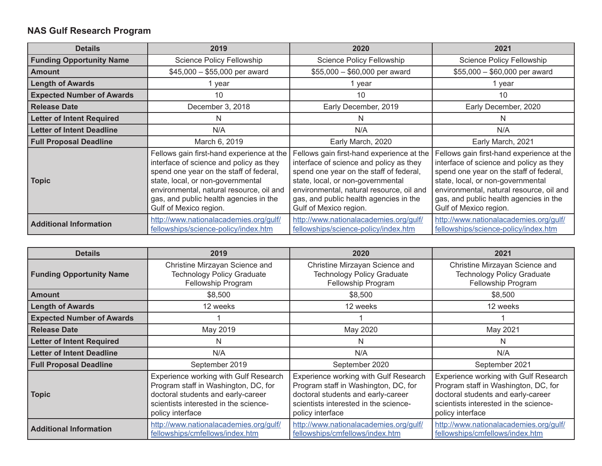## **NAS Gulf Research Program**

| <b>Details</b>                   | 2019                                                                                                                                                                                                                                                                                 | 2020                                                                                                                                                                                                                                                                                 | 2021                                                                                                                                                                                                                                                                                 |
|----------------------------------|--------------------------------------------------------------------------------------------------------------------------------------------------------------------------------------------------------------------------------------------------------------------------------------|--------------------------------------------------------------------------------------------------------------------------------------------------------------------------------------------------------------------------------------------------------------------------------------|--------------------------------------------------------------------------------------------------------------------------------------------------------------------------------------------------------------------------------------------------------------------------------------|
| <b>Funding Opportunity Name</b>  | Science Policy Fellowship                                                                                                                                                                                                                                                            | Science Policy Fellowship                                                                                                                                                                                                                                                            | <b>Science Policy Fellowship</b>                                                                                                                                                                                                                                                     |
| <b>Amount</b>                    | $$45,000 - $55,000$ per award                                                                                                                                                                                                                                                        | $$55,000 - $60,000$ per award                                                                                                                                                                                                                                                        | $$55,000 - $60,000$ per award                                                                                                                                                                                                                                                        |
| <b>Length of Awards</b>          | 1 year                                                                                                                                                                                                                                                                               | 1 year                                                                                                                                                                                                                                                                               | 1 year                                                                                                                                                                                                                                                                               |
| <b>Expected Number of Awards</b> | 10                                                                                                                                                                                                                                                                                   | 10                                                                                                                                                                                                                                                                                   | 10                                                                                                                                                                                                                                                                                   |
| <b>Release Date</b>              | December 3, 2018                                                                                                                                                                                                                                                                     | Early December, 2019                                                                                                                                                                                                                                                                 | Early December, 2020                                                                                                                                                                                                                                                                 |
| <b>Letter of Intent Required</b> | N                                                                                                                                                                                                                                                                                    | N                                                                                                                                                                                                                                                                                    |                                                                                                                                                                                                                                                                                      |
| <b>Letter of Intent Deadline</b> | N/A                                                                                                                                                                                                                                                                                  | N/A                                                                                                                                                                                                                                                                                  | N/A                                                                                                                                                                                                                                                                                  |
| <b>Full Proposal Deadline</b>    | March 6, 2019                                                                                                                                                                                                                                                                        | Early March, 2020                                                                                                                                                                                                                                                                    | Early March, 2021                                                                                                                                                                                                                                                                    |
| <b>Topic</b>                     | Fellows gain first-hand experience at the<br>interface of science and policy as they<br>spend one year on the staff of federal,<br>state, local, or non-governmental<br>environmental, natural resource, oil and<br>gas, and public health agencies in the<br>Gulf of Mexico region. | Fellows gain first-hand experience at the<br>interface of science and policy as they<br>spend one year on the staff of federal,<br>state, local, or non-governmental<br>environmental, natural resource, oil and<br>gas, and public health agencies in the<br>Gulf of Mexico region. | Fellows gain first-hand experience at the<br>interface of science and policy as they<br>spend one year on the staff of federal,<br>state, local, or non-governmental<br>environmental, natural resource, oil and<br>gas, and public health agencies in the<br>Gulf of Mexico region. |
| <b>Additional Information</b>    | http://www.nationalacademies.org/gulf/<br>fellowships/science-policy/index.htm                                                                                                                                                                                                       | http://www.nationalacademies.org/gulf/<br>fellowships/science-policy/index.htm                                                                                                                                                                                                       | http://www.nationalacademies.org/gulf/<br>fellowships/science-policy/index.htm                                                                                                                                                                                                       |

| <b>Details</b>                   | 2019                                                                                                                                                                             | 2020                                                                                                                                                                             | 2021                                                                                                                                                                             |
|----------------------------------|----------------------------------------------------------------------------------------------------------------------------------------------------------------------------------|----------------------------------------------------------------------------------------------------------------------------------------------------------------------------------|----------------------------------------------------------------------------------------------------------------------------------------------------------------------------------|
| <b>Funding Opportunity Name</b>  | Christine Mirzayan Science and<br><b>Technology Policy Graduate</b><br>Fellowship Program                                                                                        | Christine Mirzayan Science and<br><b>Technology Policy Graduate</b><br>Fellowship Program                                                                                        | Christine Mirzayan Science and<br><b>Technology Policy Graduate</b><br>Fellowship Program                                                                                        |
| <b>Amount</b>                    | \$8,500                                                                                                                                                                          | \$8,500                                                                                                                                                                          | \$8,500                                                                                                                                                                          |
| <b>Length of Awards</b>          | 12 weeks                                                                                                                                                                         | 12 weeks                                                                                                                                                                         | 12 weeks                                                                                                                                                                         |
| <b>Expected Number of Awards</b> |                                                                                                                                                                                  |                                                                                                                                                                                  |                                                                                                                                                                                  |
| <b>Release Date</b>              | May 2019                                                                                                                                                                         | May 2020                                                                                                                                                                         | May 2021                                                                                                                                                                         |
| <b>Letter of Intent Required</b> | N                                                                                                                                                                                | N                                                                                                                                                                                | N                                                                                                                                                                                |
| <b>Letter of Intent Deadline</b> | N/A                                                                                                                                                                              | N/A                                                                                                                                                                              | N/A                                                                                                                                                                              |
| <b>Full Proposal Deadline</b>    | September 2019                                                                                                                                                                   | September 2020                                                                                                                                                                   | September 2021                                                                                                                                                                   |
| <b>Topic</b>                     | Experience working with Gulf Research<br>Program staff in Washington, DC, for<br>doctoral students and early-career<br>scientists interested in the science-<br>policy interface | Experience working with Gulf Research<br>Program staff in Washington, DC, for<br>doctoral students and early-career<br>scientists interested in the science-<br>policy interface | Experience working with Gulf Research<br>Program staff in Washington, DC, for<br>doctoral students and early-career<br>scientists interested in the science-<br>policy interface |
| <b>Additional Information</b>    | http://www.nationalacademies.org/gulf/<br>fellowships/cmfellows/index.htm                                                                                                        | http://www.nationalacademies.org/gulf/<br>fellowships/cmfellows/index.htm                                                                                                        | http://www.nationalacademies.org/gulf/<br>fellowships/cmfellows/index.htm                                                                                                        |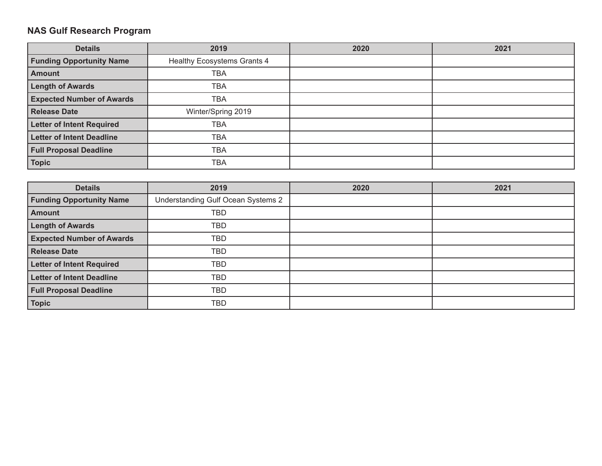## **NAS Gulf Research Program**

| <b>Details</b>                   | 2019                        | 2020 | 2021 |
|----------------------------------|-----------------------------|------|------|
| <b>Funding Opportunity Name</b>  | Healthy Ecosystems Grants 4 |      |      |
| <b>Amount</b>                    | <b>TBA</b>                  |      |      |
| <b>Length of Awards</b>          | <b>TBA</b>                  |      |      |
| <b>Expected Number of Awards</b> | TBA                         |      |      |
| <b>Release Date</b>              | Winter/Spring 2019          |      |      |
| <b>Letter of Intent Required</b> | <b>TBA</b>                  |      |      |
| <b>Letter of Intent Deadline</b> | <b>TBA</b>                  |      |      |
| <b>Full Proposal Deadline</b>    | <b>TBA</b>                  |      |      |
| <b>Topic</b>                     | <b>TBA</b>                  |      |      |

| <b>Details</b>                   | 2019                               | 2020 | 2021 |
|----------------------------------|------------------------------------|------|------|
| <b>Funding Opportunity Name</b>  | Understanding Gulf Ocean Systems 2 |      |      |
| <b>Amount</b>                    | <b>TBD</b>                         |      |      |
| <b>Length of Awards</b>          | <b>TBD</b>                         |      |      |
| <b>Expected Number of Awards</b> | TBD                                |      |      |
| <b>Release Date</b>              | <b>TBD</b>                         |      |      |
| <b>Letter of Intent Required</b> | <b>TBD</b>                         |      |      |
| <b>Letter of Intent Deadline</b> | <b>TBD</b>                         |      |      |
| <b>Full Proposal Deadline</b>    | TBD                                |      |      |
| <b>Topic</b>                     | <b>TBD</b>                         |      |      |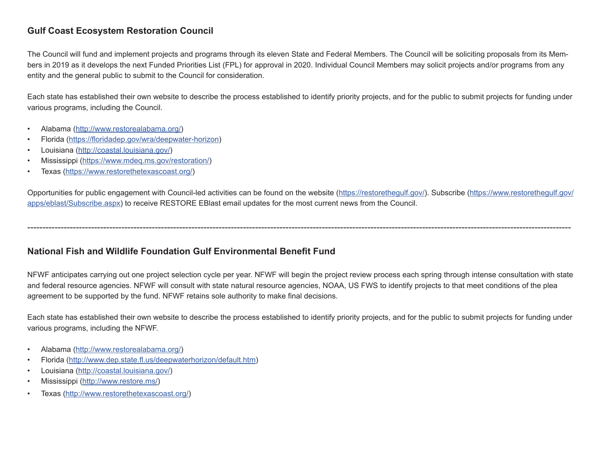## **Gulf Coast Ecosystem Restoration Council**

The Council will fund and implement projects and programs through its eleven State and Federal Members. The Council will be soliciting proposals from its Members in 2019 as it develops the next Funded Priorities List (FPL) for approval in 2020. Individual Council Members may solicit projects and/or programs from any entity and the general public to submit to the Council for consideration.

Each state has established their own website to describe the process established to identify priority projects, and for the public to submit projects for funding under various programs, including the Council.

- Alabama (http://www.restorealabama.org/)
- Florida (https://floridadep.gov/wra/deepwater-horizon)
- Louisiana (http://coastal.louisiana.gov/)
- Mississippi (https://www.mdeq.ms.gov/restoration/)
- Texas (https://www.restorethetexascoast.org/)

Opportunities for public engagement with Council-led activities can be found on the website (https://restorethegulf.gov/). Subscribe (https://www.restorethegulf.gov/ apps/eblast/Subscribe.aspx) to receive RESTORE EBlast email updates for the most current news from the Council.

-----------------------------------------------------------------------------------------------------------------------------------------------------------------------------------

**National Fish and Wildlife Foundation Gulf Environmental Benefit Fund**

NFWF anticipates carrying out one project selection cycle per year. NFWF will begin the project review process each spring through intense consultation with state and federal resource agencies. NFWF will consult with state natural resource agencies, NOAA, US FWS to identify projects to that meet conditions of the plea agreement to be supported by the fund. NFWF retains sole authority to make final decisions.

Each state has established their own website to describe the process established to identify priority projects, and for the public to submit projects for funding under various programs, including the NFWF.

- Alabama (http://www.restorealabama.org/)
- Florida (http://www.dep.state.fl.us/deepwaterhorizon/default.htm)
- Louisiana (http://coastal.louisiana.gov/)
- Mississippi (http://www.restore.ms/)
- Texas (http://www.restorethetexascoast.org/)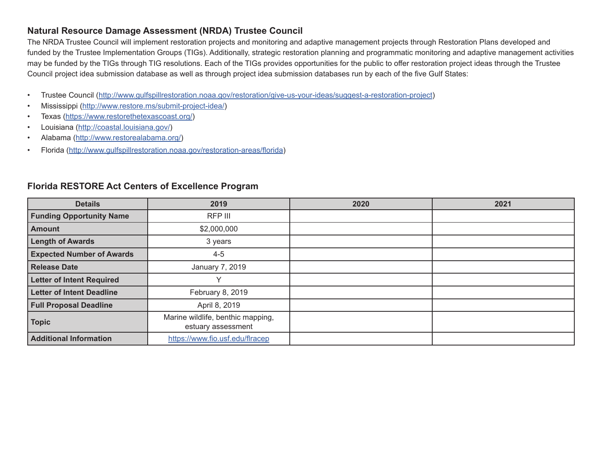### **Natural Resource Damage Assessment (NRDA) Trustee Council**

The NRDA Trustee Council will implement restoration projects and monitoring and adaptive management projects through Restoration Plans developed and funded by the Trustee Implementation Groups (TIGs). Additionally, strategic restoration planning and programmatic monitoring and adaptive management activities may be funded by the TIGs through TIG resolutions. Each of the TIGs provides opportunities for the public to offer restoration project ideas through the Trustee Council project idea submission database as well as through project idea submission databases run by each of the five Gulf States:

- Trustee Council (http://www.gulfspillrestoration.noaa.gov/restoration/give-us-your-ideas/suggest-a-restoration-project)
- Mississippi (http://www.restore.ms/submit-project-idea/)
- Texas (https://www.restorethetexascoast.org/)
- Louisiana (http://coastal.louisiana.gov/)
- Alabama (http://www.restorealabama.org/)
- Florida (http://www.gulfspillrestoration.noaa.gov/restoration-areas/florida)

| <b>Details</b>                   | 2019                                                    | 2020 | 2021 |
|----------------------------------|---------------------------------------------------------|------|------|
| <b>Funding Opportunity Name</b>  | RFP III                                                 |      |      |
| <b>Amount</b>                    | \$2,000,000                                             |      |      |
| <b>Length of Awards</b>          | 3 years                                                 |      |      |
| <b>Expected Number of Awards</b> | $4 - 5$                                                 |      |      |
| <b>Release Date</b>              | January 7, 2019                                         |      |      |
| <b>Letter of Intent Required</b> | $\checkmark$                                            |      |      |
| <b>Letter of Intent Deadline</b> | February 8, 2019                                        |      |      |
| <b>Full Proposal Deadline</b>    | April 8, 2019                                           |      |      |
| <b>Topic</b>                     | Marine wildlife, benthic mapping,<br>estuary assessment |      |      |
| <b>Additional Information</b>    | https://www.fio.usf.edu/flracep                         |      |      |

#### **Florida RESTORE Act Centers of Excellence Program**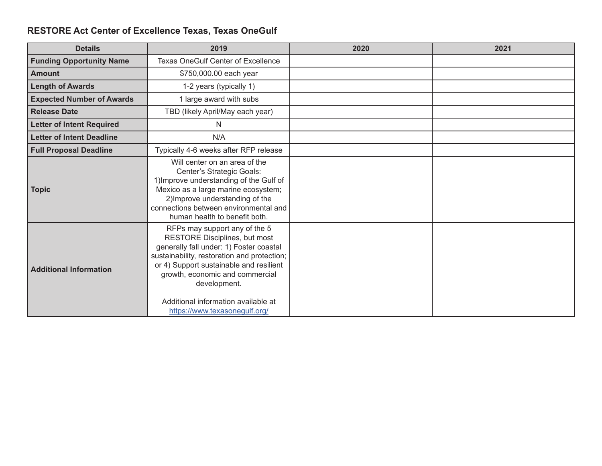# **RESTORE Act Center of Excellence Texas, Texas OneGulf**

| <b>Details</b>                   | 2019                                                                                                                                                                                                                                                                                                                           | 2020 | 2021 |
|----------------------------------|--------------------------------------------------------------------------------------------------------------------------------------------------------------------------------------------------------------------------------------------------------------------------------------------------------------------------------|------|------|
| <b>Funding Opportunity Name</b>  | <b>Texas OneGulf Center of Excellence</b>                                                                                                                                                                                                                                                                                      |      |      |
| <b>Amount</b>                    | \$750,000.00 each year                                                                                                                                                                                                                                                                                                         |      |      |
| <b>Length of Awards</b>          | 1-2 years (typically 1)                                                                                                                                                                                                                                                                                                        |      |      |
| <b>Expected Number of Awards</b> | 1 large award with subs                                                                                                                                                                                                                                                                                                        |      |      |
| <b>Release Date</b>              | TBD (likely April/May each year)                                                                                                                                                                                                                                                                                               |      |      |
| <b>Letter of Intent Required</b> | N                                                                                                                                                                                                                                                                                                                              |      |      |
| <b>Letter of Intent Deadline</b> | N/A                                                                                                                                                                                                                                                                                                                            |      |      |
| <b>Full Proposal Deadline</b>    | Typically 4-6 weeks after RFP release                                                                                                                                                                                                                                                                                          |      |      |
| <b>Topic</b>                     | Will center on an area of the<br>Center's Strategic Goals:<br>1) Improve understanding of the Gulf of<br>Mexico as a large marine ecosystem;<br>2) Improve understanding of the<br>connections between environmental and<br>human health to benefit both.                                                                      |      |      |
| <b>Additional Information</b>    | RFPs may support any of the 5<br>RESTORE Disciplines, but most<br>generally fall under: 1) Foster coastal<br>sustainability, restoration and protection;<br>or 4) Support sustainable and resilient<br>growth, economic and commercial<br>development.<br>Additional information available at<br>https://www.texasonegulf.org/ |      |      |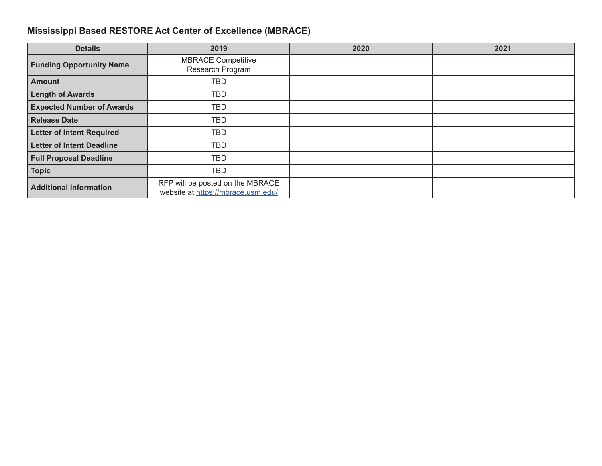## **Mississippi Based RESTORE Act Center of Excellence (MBRACE)**

| <b>Details</b>                   | 2019                                                                   | 2020 | 2021 |
|----------------------------------|------------------------------------------------------------------------|------|------|
| <b>Funding Opportunity Name</b>  | <b>MBRACE Competitive</b><br>Research Program                          |      |      |
| <b>Amount</b>                    | <b>TBD</b>                                                             |      |      |
| <b>Length of Awards</b>          | TBD                                                                    |      |      |
| <b>Expected Number of Awards</b> | TBD                                                                    |      |      |
| <b>Release Date</b>              | TBD                                                                    |      |      |
| <b>Letter of Intent Required</b> | TBD                                                                    |      |      |
| <b>Letter of Intent Deadline</b> | <b>TBD</b>                                                             |      |      |
| <b>Full Proposal Deadline</b>    | <b>TBD</b>                                                             |      |      |
| <b>Topic</b>                     | TBD                                                                    |      |      |
| <b>Additional Information</b>    | RFP will be posted on the MBRACE<br>website at https://mbrace.usm.edu/ |      |      |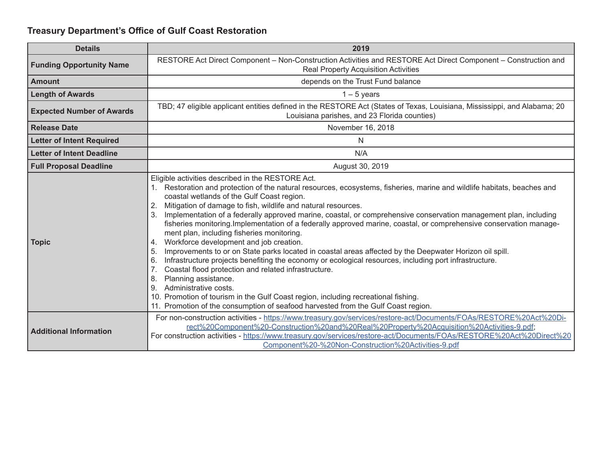## **Treasury Department's Office of Gulf Coast Restoration**

| <b>Details</b>                   | 2019                                                                                                                                                                                                                                                                                                                                                                                                                                                                                                                                                                                                                                                                                                                                                                                                                                                                                                                                                                                                                                                                                                                                                                          |
|----------------------------------|-------------------------------------------------------------------------------------------------------------------------------------------------------------------------------------------------------------------------------------------------------------------------------------------------------------------------------------------------------------------------------------------------------------------------------------------------------------------------------------------------------------------------------------------------------------------------------------------------------------------------------------------------------------------------------------------------------------------------------------------------------------------------------------------------------------------------------------------------------------------------------------------------------------------------------------------------------------------------------------------------------------------------------------------------------------------------------------------------------------------------------------------------------------------------------|
| <b>Funding Opportunity Name</b>  | RESTORE Act Direct Component – Non-Construction Activities and RESTORE Act Direct Component – Construction and<br>Real Property Acquisition Activities                                                                                                                                                                                                                                                                                                                                                                                                                                                                                                                                                                                                                                                                                                                                                                                                                                                                                                                                                                                                                        |
| <b>Amount</b>                    | depends on the Trust Fund balance                                                                                                                                                                                                                                                                                                                                                                                                                                                                                                                                                                                                                                                                                                                                                                                                                                                                                                                                                                                                                                                                                                                                             |
| <b>Length of Awards</b>          | $1 - 5$ years                                                                                                                                                                                                                                                                                                                                                                                                                                                                                                                                                                                                                                                                                                                                                                                                                                                                                                                                                                                                                                                                                                                                                                 |
| <b>Expected Number of Awards</b> | TBD; 47 eligible applicant entities defined in the RESTORE Act (States of Texas, Louisiana, Mississippi, and Alabama; 20<br>Louisiana parishes, and 23 Florida counties)                                                                                                                                                                                                                                                                                                                                                                                                                                                                                                                                                                                                                                                                                                                                                                                                                                                                                                                                                                                                      |
| <b>Release Date</b>              | November 16, 2018                                                                                                                                                                                                                                                                                                                                                                                                                                                                                                                                                                                                                                                                                                                                                                                                                                                                                                                                                                                                                                                                                                                                                             |
| <b>Letter of Intent Required</b> | $\mathsf{N}$                                                                                                                                                                                                                                                                                                                                                                                                                                                                                                                                                                                                                                                                                                                                                                                                                                                                                                                                                                                                                                                                                                                                                                  |
| <b>Letter of Intent Deadline</b> | N/A                                                                                                                                                                                                                                                                                                                                                                                                                                                                                                                                                                                                                                                                                                                                                                                                                                                                                                                                                                                                                                                                                                                                                                           |
| <b>Full Proposal Deadline</b>    | August 30, 2019                                                                                                                                                                                                                                                                                                                                                                                                                                                                                                                                                                                                                                                                                                                                                                                                                                                                                                                                                                                                                                                                                                                                                               |
| <b>Topic</b>                     | Eligible activities described in the RESTORE Act.<br>1. Restoration and protection of the natural resources, ecosystems, fisheries, marine and wildlife habitats, beaches and<br>coastal wetlands of the Gulf Coast region.<br>Mitigation of damage to fish, wildlife and natural resources.<br>2.<br>Implementation of a federally approved marine, coastal, or comprehensive conservation management plan, including<br>fisheries monitoring. Implementation of a federally approved marine, coastal, or comprehensive conservation manage-<br>ment plan, including fisheries monitoring.<br>Workforce development and job creation.<br>4.<br>Improvements to or on State parks located in coastal areas affected by the Deepwater Horizon oil spill.<br>5.<br>Infrastructure projects benefiting the economy or ecological resources, including port infrastructure.<br>6.<br>Coastal flood protection and related infrastructure.<br>Planning assistance.<br>8.<br>Administrative costs.<br>9.<br>10. Promotion of tourism in the Gulf Coast region, including recreational fishing.<br>11. Promotion of the consumption of seafood harvested from the Gulf Coast region. |
| <b>Additional Information</b>    | For non-construction activities - https://www.treasury.gov/services/restore-act/Documents/FOAs/RESTORE%20Act%20Di-<br>rect%20Component%20-Construction%20and%20Real%20Property%20Acquisition%20Activities-9.pdf;<br>For construction activities - https://www.treasury.gov/services/restore-act/Documents/FOAs/RESTORE%20Act%20Direct%20<br>Component%20-%20Non-Construction%20Activities-9.pdf                                                                                                                                                                                                                                                                                                                                                                                                                                                                                                                                                                                                                                                                                                                                                                               |